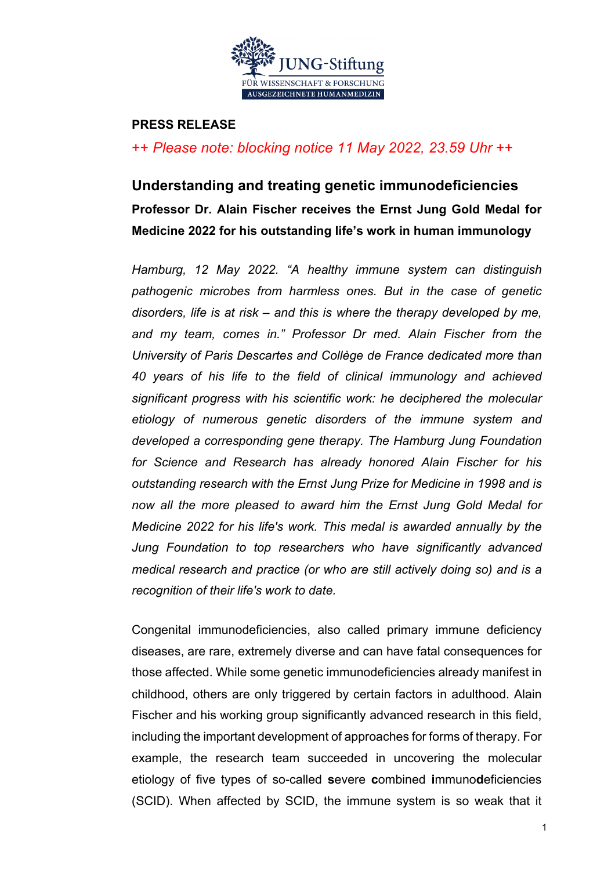

#### **PRESS RELEASE**

# ++ *Please note: blocking notice 11 May 2022, 23.59 Uhr* ++

# **Understanding and treating genetic immunodeficiencies Professor Dr. Alain Fischer receives the Ernst Jung Gold Medal for Medicine 2022 for his outstanding life's work in human immunology**

*Hamburg, 12 May 2022. "A healthy immune system can distinguish pathogenic microbes from harmless ones. But in the case of genetic disorders, life is at risk – and this is where the therapy developed by me, and my team, comes in." Professor Dr med. Alain Fischer from the University of Paris Descartes and Collège de France dedicated more than 40 years of his life to the field of clinical immunology and achieved significant progress with his scientific work: he deciphered the molecular etiology of numerous genetic disorders of the immune system and developed a corresponding gene therapy. The Hamburg Jung Foundation for Science and Research has already honored Alain Fischer for his outstanding research with the Ernst Jung Prize for Medicine in 1998 and is now all the more pleased to award him the Ernst Jung Gold Medal for Medicine 2022 for his life's work. This medal is awarded annually by the Jung Foundation to top researchers who have significantly advanced medical research and practice (or who are still actively doing so) and is a recognition of their life's work to date.*

Congenital immunodeficiencies, also called primary immune deficiency diseases, are rare, extremely diverse and can have fatal consequences for those affected. While some genetic immunodeficiencies already manifest in childhood, others are only triggered by certain factors in adulthood. Alain Fischer and his working group significantly advanced research in this field, including the important development of approaches for forms of therapy. For example, the research team succeeded in uncovering the molecular etiology of five types of so-called **s**evere **c**ombined **i**mmuno**d**eficiencies (SCID). When affected by SCID, the immune system is so weak that it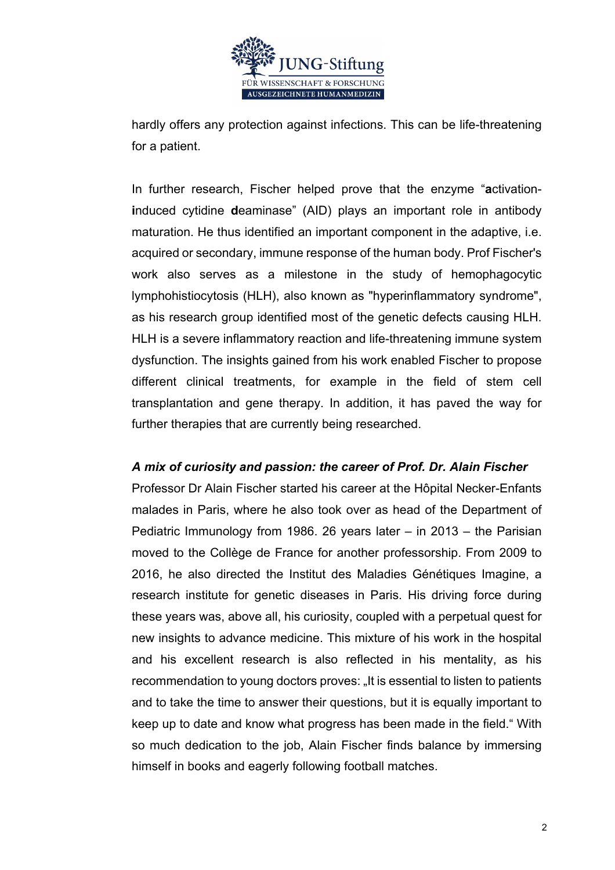

hardly offers any protection against infections. This can be life-threatening for a patient.

In further research, Fischer helped prove that the enzyme "**a**ctivation**i**nduced cytidine **d**eaminase" (AID) plays an important role in antibody maturation. He thus identified an important component in the adaptive, i.e. acquired or secondary, immune response of the human body. Prof Fischer's work also serves as a milestone in the study of hemophagocytic lymphohistiocytosis (HLH), also known as "hyperinflammatory syndrome", as his research group identified most of the genetic defects causing HLH. HLH is a severe inflammatory reaction and life-threatening immune system dysfunction. The insights gained from his work enabled Fischer to propose different clinical treatments, for example in the field of stem cell transplantation and gene therapy. In addition, it has paved the way for further therapies that are currently being researched.

## *A mix of curiosity and passion: the career of Prof. Dr. Alain Fischer*

Professor Dr Alain Fischer started his career at the Hôpital Necker-Enfants malades in Paris, where he also took over as head of the Department of Pediatric Immunology from 1986. 26 years later – in 2013 – the Parisian moved to the Collège de France for another professorship. From 2009 to 2016, he also directed the Institut des Maladies Génétiques Imagine, a research institute for genetic diseases in Paris. His driving force during these years was, above all, his curiosity, coupled with a perpetual quest for new insights to advance medicine. This mixture of his work in the hospital and his excellent research is also reflected in his mentality, as his recommendation to young doctors proves: "It is essential to listen to patients and to take the time to answer their questions, but it is equally important to keep up to date and know what progress has been made in the field." With so much dedication to the job, Alain Fischer finds balance by immersing himself in books and eagerly following football matches.